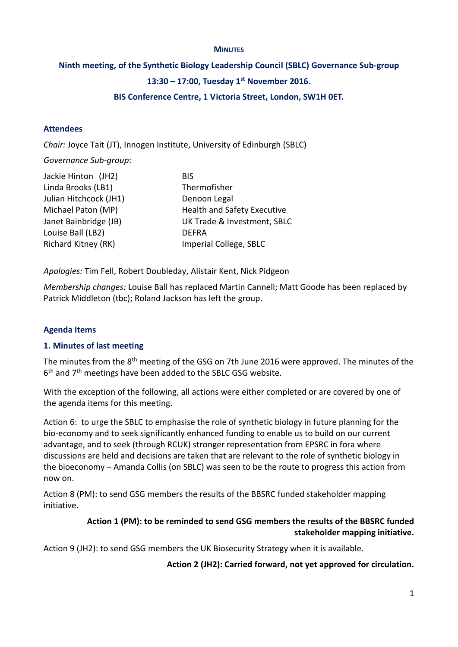#### **MINUTES**

#### **Ninth meeting, of the Synthetic Biology Leadership Council (SBLC) Governance Sub-group**

### **13:30 – 17:00, Tuesday 1 st November 2016.**

#### **BIS Conference Centre, 1 Victoria Street, London, SW1H 0ET.**

#### **Attendees**

*Chair:* Joyce Tait (JT), Innogen Institute, University of Edinburgh (SBLC)

*Governance Sub-group*:

| Jackie Hinton (JH2)        | <b>BIS</b>                         |
|----------------------------|------------------------------------|
| Linda Brooks (LB1)         | Thermofisher                       |
| Julian Hitchcock (JH1)     | Denoon Legal                       |
| Michael Paton (MP)         | <b>Health and Safety Executive</b> |
| Janet Bainbridge (JB)      | UK Trade & Investment, SBLC        |
| Louise Ball (LB2)          | <b>DEFRA</b>                       |
| <b>Richard Kitney (RK)</b> | Imperial College, SBLC             |

*Apologies:* Tim Fell, Robert Doubleday, Alistair Kent, Nick Pidgeon

*Membership changes:* Louise Ball has replaced Martin Cannell; Matt Goode has been replaced by Patrick Middleton (tbc); Roland Jackson has left the group.

#### **Agenda Items**

#### **1. Minutes of last meeting**

The minutes from the 8<sup>th</sup> meeting of the GSG on 7th June 2016 were approved. The minutes of the 6<sup>th</sup> and 7<sup>th</sup> meetings have been added to the SBLC GSG website.

With the exception of the following, all actions were either completed or are covered by one of the agenda items for this meeting.

Action 6: to urge the SBLC to emphasise the role of synthetic biology in future planning for the bio-economy and to seek significantly enhanced funding to enable us to build on our current advantage, and to seek (through RCUK) stronger representation from EPSRC in fora where discussions are held and decisions are taken that are relevant to the role of synthetic biology in the bioeconomy – Amanda Collis (on SBLC) was seen to be the route to progress this action from now on.

Action 8 (PM): to send GSG members the results of the BBSRC funded stakeholder mapping initiative.

### **Action 1 (PM): to be reminded to send GSG members the results of the BBSRC funded stakeholder mapping initiative.**

Action 9 (JH2): to send GSG members the UK Biosecurity Strategy when it is available.

**Action 2 (JH2): Carried forward, not yet approved for circulation.**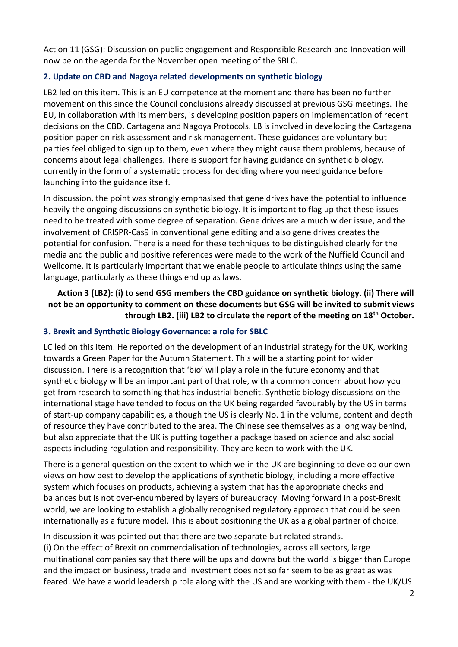Action 11 (GSG): Discussion on public engagement and Responsible Research and Innovation will now be on the agenda for the November open meeting of the SBLC.

### **2. Update on CBD and Nagoya related developments on synthetic biology**

LB2 led on this item. This is an EU competence at the moment and there has been no further movement on this since the Council conclusions already discussed at previous GSG meetings. The EU, in collaboration with its members, is developing position papers on implementation of recent decisions on the CBD, Cartagena and Nagoya Protocols. LB is involved in developing the Cartagena position paper on risk assessment and risk management. These guidances are voluntary but parties feel obliged to sign up to them, even where they might cause them problems, because of concerns about legal challenges. There is support for having guidance on synthetic biology, currently in the form of a systematic process for deciding where you need guidance before launching into the guidance itself.

In discussion, the point was strongly emphasised that gene drives have the potential to influence heavily the ongoing discussions on synthetic biology. It is important to flag up that these issues need to be treated with some degree of separation. Gene drives are a much wider issue, and the involvement of CRISPR-Cas9 in conventional gene editing and also gene drives creates the potential for confusion. There is a need for these techniques to be distinguished clearly for the media and the public and positive references were made to the work of the Nuffield Council and Wellcome. It is particularly important that we enable people to articulate things using the same language, particularly as these things end up as laws.

# **Action 3 (LB2): (i) to send GSG members the CBD guidance on synthetic biology. (ii) There will not be an opportunity to comment on these documents but GSG will be invited to submit views through LB2. (iii) LB2 to circulate the report of the meeting on 18th October.**

# **3. Brexit and Synthetic Biology Governance: a role for SBLC**

LC led on this item. He reported on the development of an industrial strategy for the UK, working towards a Green Paper for the Autumn Statement. This will be a starting point for wider discussion. There is a recognition that 'bio' will play a role in the future economy and that synthetic biology will be an important part of that role, with a common concern about how you get from research to something that has industrial benefit. Synthetic biology discussions on the international stage have tended to focus on the UK being regarded favourably by the US in terms of start-up company capabilities, although the US is clearly No. 1 in the volume, content and depth of resource they have contributed to the area. The Chinese see themselves as a long way behind, but also appreciate that the UK is putting together a package based on science and also social aspects including regulation and responsibility. They are keen to work with the UK.

There is a general question on the extent to which we in the UK are beginning to develop our own views on how best to develop the applications of synthetic biology, including a more effective system which focuses on products, achieving a system that has the appropriate checks and balances but is not over-encumbered by layers of bureaucracy. Moving forward in a post-Brexit world, we are looking to establish a globally recognised regulatory approach that could be seen internationally as a future model. This is about positioning the UK as a global partner of choice.

In discussion it was pointed out that there are two separate but related strands. (i) On the effect of Brexit on commercialisation of technologies, across all sectors, large multinational companies say that there will be ups and downs but the world is bigger than Europe and the impact on business, trade and investment does not so far seem to be as great as was feared. We have a world leadership role along with the US and are working with them - the UK/US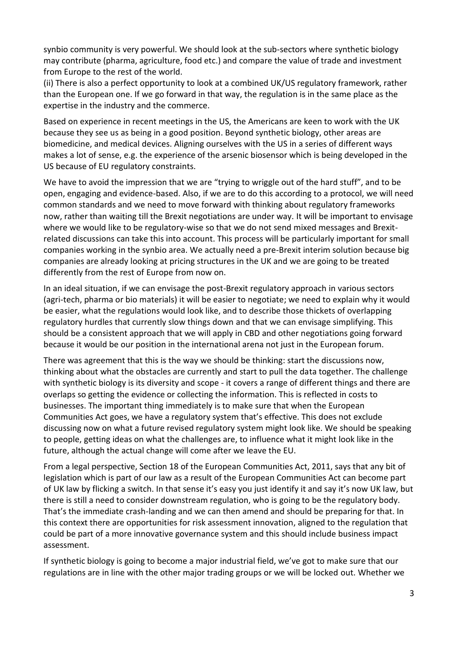synbio community is very powerful. We should look at the sub-sectors where synthetic biology may contribute (pharma, agriculture, food etc.) and compare the value of trade and investment from Europe to the rest of the world.

(ii) There is also a perfect opportunity to look at a combined UK/US regulatory framework, rather than the European one. If we go forward in that way, the regulation is in the same place as the expertise in the industry and the commerce.

Based on experience in recent meetings in the US, the Americans are keen to work with the UK because they see us as being in a good position. Beyond synthetic biology, other areas are biomedicine, and medical devices. Aligning ourselves with the US in a series of different ways makes a lot of sense, e.g. the experience of the arsenic biosensor which is being developed in the US because of EU regulatory constraints.

We have to avoid the impression that we are "trying to wriggle out of the hard stuff", and to be open, engaging and evidence-based. Also, if we are to do this according to a protocol, we will need common standards and we need to move forward with thinking about regulatory frameworks now, rather than waiting till the Brexit negotiations are under way. It will be important to envisage where we would like to be regulatory-wise so that we do not send mixed messages and Brexitrelated discussions can take this into account. This process will be particularly important for small companies working in the synbio area. We actually need a pre-Brexit interim solution because big companies are already looking at pricing structures in the UK and we are going to be treated differently from the rest of Europe from now on.

In an ideal situation, if we can envisage the post-Brexit regulatory approach in various sectors (agri-tech, pharma or bio materials) it will be easier to negotiate; we need to explain why it would be easier, what the regulations would look like, and to describe those thickets of overlapping regulatory hurdles that currently slow things down and that we can envisage simplifying. This should be a consistent approach that we will apply in CBD and other negotiations going forward because it would be our position in the international arena not just in the European forum.

There was agreement that this is the way we should be thinking: start the discussions now, thinking about what the obstacles are currently and start to pull the data together. The challenge with synthetic biology is its diversity and scope - it covers a range of different things and there are overlaps so getting the evidence or collecting the information. This is reflected in costs to businesses. The important thing immediately is to make sure that when the European Communities Act goes, we have a regulatory system that's effective. This does not exclude discussing now on what a future revised regulatory system might look like. We should be speaking to people, getting ideas on what the challenges are, to influence what it might look like in the future, although the actual change will come after we leave the EU.

From a legal perspective, Section 18 of the European Communities Act, 2011, says that any bit of legislation which is part of our law as a result of the European Communities Act can become part of UK law by flicking a switch. In that sense it's easy you just identify it and say it's now UK law, but there is still a need to consider downstream regulation, who is going to be the regulatory body. That's the immediate crash-landing and we can then amend and should be preparing for that. In this context there are opportunities for risk assessment innovation, aligned to the regulation that could be part of a more innovative governance system and this should include business impact assessment.

If synthetic biology is going to become a major industrial field, we've got to make sure that our regulations are in line with the other major trading groups or we will be locked out. Whether we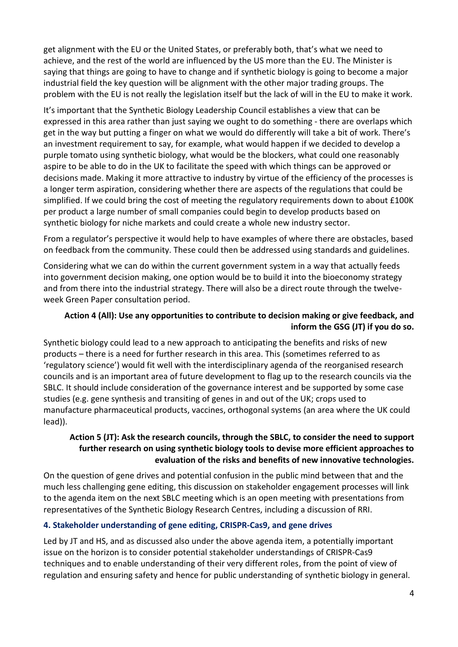get alignment with the EU or the United States, or preferably both, that's what we need to achieve, and the rest of the world are influenced by the US more than the EU. The Minister is saying that things are going to have to change and if synthetic biology is going to become a major industrial field the key question will be alignment with the other major trading groups. The problem with the EU is not really the legislation itself but the lack of will in the EU to make it work.

It's important that the Synthetic Biology Leadership Council establishes a view that can be expressed in this area rather than just saying we ought to do something - there are overlaps which get in the way but putting a finger on what we would do differently will take a bit of work. There's an investment requirement to say, for example, what would happen if we decided to develop a purple tomato using synthetic biology, what would be the blockers, what could one reasonably aspire to be able to do in the UK to facilitate the speed with which things can be approved or decisions made. Making it more attractive to industry by virtue of the efficiency of the processes is a longer term aspiration, considering whether there are aspects of the regulations that could be simplified. If we could bring the cost of meeting the regulatory requirements down to about £100K per product a large number of small companies could begin to develop products based on synthetic biology for niche markets and could create a whole new industry sector.

From a regulator's perspective it would help to have examples of where there are obstacles, based on feedback from the community. These could then be addressed using standards and guidelines.

Considering what we can do within the current government system in a way that actually feeds into government decision making, one option would be to build it into the bioeconomy strategy and from there into the industrial strategy. There will also be a direct route through the twelveweek Green Paper consultation period.

### **Action 4 (All): Use any opportunities to contribute to decision making or give feedback, and inform the GSG (JT) if you do so.**

Synthetic biology could lead to a new approach to anticipating the benefits and risks of new products – there is a need for further research in this area. This (sometimes referred to as 'regulatory science') would fit well with the interdisciplinary agenda of the reorganised research councils and is an important area of future development to flag up to the research councils via the SBLC. It should include consideration of the governance interest and be supported by some case studies (e.g. gene synthesis and transiting of genes in and out of the UK; crops used to manufacture pharmaceutical products, vaccines, orthogonal systems (an area where the UK could lead)).

## **Action 5 (JT): Ask the research councils, through the SBLC, to consider the need to support further research on using synthetic biology tools to devise more efficient approaches to evaluation of the risks and benefits of new innovative technologies.**

On the question of gene drives and potential confusion in the public mind between that and the much less challenging gene editing, this discussion on stakeholder engagement processes will link to the agenda item on the next SBLC meeting which is an open meeting with presentations from representatives of the Synthetic Biology Research Centres, including a discussion of RRI.

# **4. Stakeholder understanding of gene editing, CRISPR-Cas9, and gene drives**

Led by JT and HS, and as discussed also under the above agenda item, a potentially important issue on the horizon is to consider potential stakeholder understandings of CRISPR-Cas9 techniques and to enable understanding of their very different roles, from the point of view of regulation and ensuring safety and hence for public understanding of synthetic biology in general.